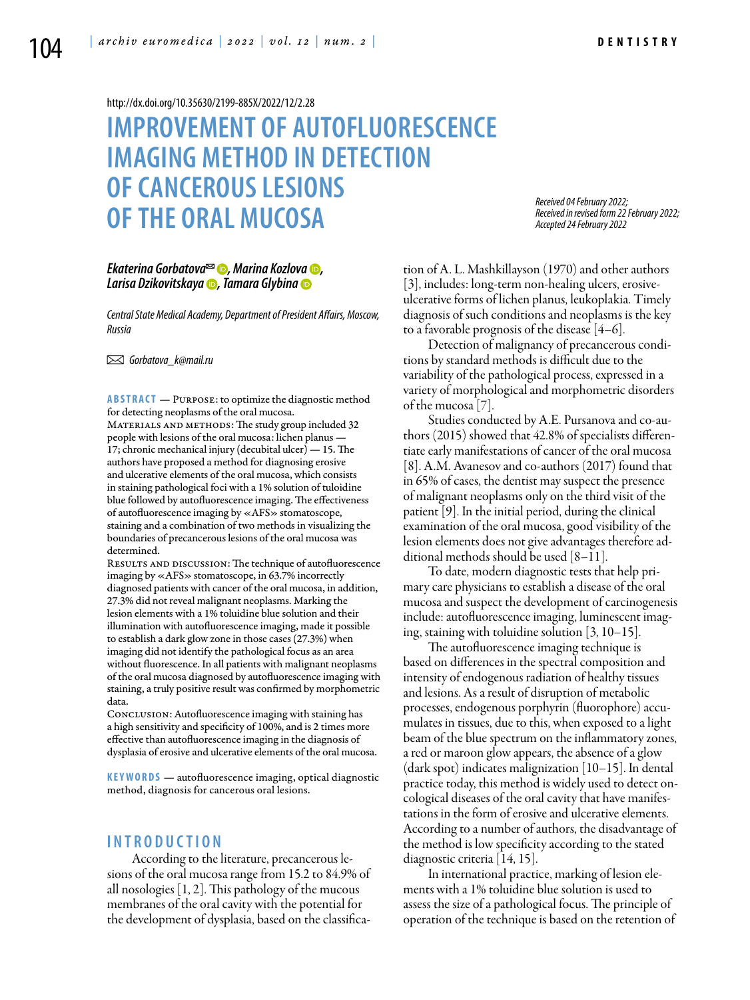#### <http://dx.doi.org/10.35630/2199-885X/2022/12/2.28>

# **IMPROVEMENT OF AUTOFLUORESCENCE IMAGING METHOD IN DETECTION OF CANCEROUS LESIONS OF THE ORAL MUCOSA**

*Received 04 February 2022; Received in revised form 22 February 2022; Accepted 24 February 2022*

### *[Ekaterina Gorbatova](https://orcid.org/0000-0002-7729-7979)*<sup>∞</sup> ●, *Marina Kozlova* ●, *[Larisa Dzikovitskaya](https://orcid.org/0000-0002-9899-6672) , [Tamara Glybina](https://orcid.org/0000-0002-4058-5934)*

*Central State Medical Academy, Department of President Affairs, Moscow, Russia* 

 *Gorbatova\_k@mail.ru*

**Abstract** — Purpose: to optimize the diagnostic method for detecting neoplasms of the oral mucosa. MATERIALS AND METHODS: The study group included 32 people with lesions of the oral mucosa: lichen planus — 17; chronic mechanical injury (decubital ulcer) — 15. The authors have proposed a method for diagnosing erosive and ulcerative elements of the oral mucosa, which consists in staining pathological foci with a 1% solution of tuloidine blue followed by autofluorescence imaging. The effectiveness of autofluorescence imaging by «AFS» stomatoscope, staining and a combination of two methods in visualizing the boundaries of precancerous lesions of the oral mucosa was determined.

RESULTS AND DISCUSSION: The technique of autofluorescence imaging by «AFS» stomatoscope, in 63.7% incorrectly diagnosed patients with cancer of the oral mucosa, in addition, 27.3% did not reveal malignant neoplasms. Marking the lesion elements with a 1% toluidine blue solution and their illumination with autofluorescence imaging, made it possible to establish a dark glow zone in those cases (27.3%) when imaging did not identify the pathological focus as an area without fluorescence. In all patients with malignant neoplasms of the oral mucosa diagnosed by autofluorescence imaging with staining, a truly positive result was confirmed by morphometric data.

CONCLUSION: Autofluorescence imaging with staining has a high sensitivity and specificity of 100%, and is 2 times more effective than autofluorescence imaging in the diagnosis of dysplasia of erosive and ulcerative elements of the oral mucosa.

**KEYWORDS** — autofluorescence imaging, optical diagnostic method, diagnosis for cancerous oral lesions.

# **I n t r o ducti o n**

According to the literature, precancerous lesions of the oral mucosa range from 15.2 to 84.9% of all nosologies [1, 2]. This pathology of the mucous membranes of the oral cavity with the potential for the development of dysplasia, based on the classification of A. L. Mashkillayson (1970) and other authors [3], includes: long-term non-healing ulcers, erosiveulcerative forms of lichen planus, leukoplakia. Timely diagnosis of such conditions and neoplasms is the key to a favorable prognosis of the disease [4–6].

Detection of malignancy of precancerous conditions by standard methods is difficult due to the variability of the pathological process, expressed in a variety of morphological and morphometric disorders of the mucosa [7].

Studies conducted by A.E. Pursanova and co-authors (2015) showed that 42.8% of specialists differentiate early manifestations of cancer of the oral mucosa [8]. A.M. Avanesov and co-authors (2017) found that in 65% of cases, the dentist may suspect the presence of malignant neoplasms only on the third visit of the patient [9]. In the initial period, during the clinical examination of the oral mucosa, good visibility of the lesion elements does not give advantages therefore additional methods should be used [8–11].

To date, modern diagnostic tests that help primary care physicians to establish a disease of the oral mucosa and suspect the development of carcinogenesis include: autofluorescence imaging, luminescent imaging, staining with toluidine solution [3, 10–15].

The autofluorescence imaging technique is based on differences in the spectral composition and intensity of endogenous radiation of healthy tissues and lesions. As a result of disruption of metabolic processes, endogenous porphyrin (fluorophore) accumulates in tissues, due to this, when exposed to a light beam of the blue spectrum on the inflammatory zones, a red or maroon glow appears, the absence of a glow  $(dark spot)$  indicates malignization  $|10-15|$ . In dental practice today, this method is widely used to detect oncological diseases of the oral cavity that have manifestations in the form of erosive and ulcerative elements. According to a number of authors, the disadvantage of the method is low specificity according to the stated diagnostic criteria [14, 15].

In international practice, marking of lesion elements with a 1% toluidine blue solution is used to assess the size of a pathological focus. The principle of operation of the technique is based on the retention of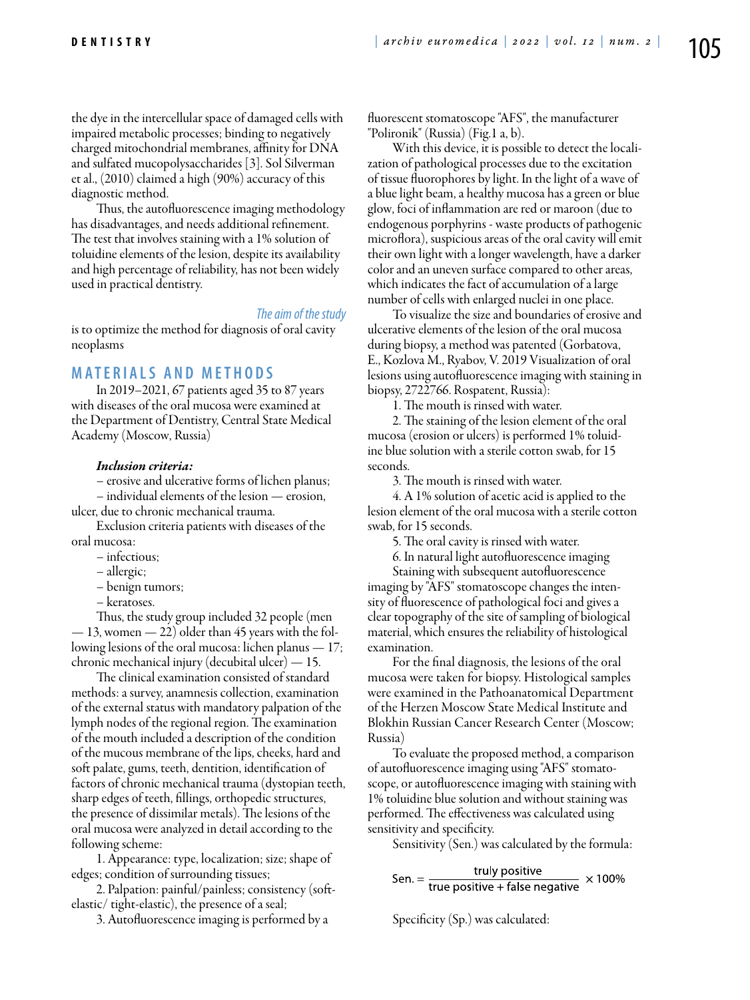the dye in the intercellular space of damaged cells with impaired metabolic processes; binding to negatively charged mitochondrial membranes, affinity for DNA and sulfated mucopolysaccharides [3]. Sol Silverman et al., (2010) claimed a high (90%) accuracy of this diagnostic method.

Thus, the autofluorescence imaging methodology has disadvantages, and needs additional refinement. The test that involves staining with a 1% solution of toluidine elements of the lesion, despite its availability and high percentage of reliability, has not been widely used in practical dentistry.

#### *The aim of the study*

is to optimize the method for diagnosis of oral cavity neoplasms

## **Mat e rials a n d me t h o d s**

In 2019–2021, 67 patients aged 35 to 87 years with diseases of the oral mucosa were examined at the Department of Dentistry, Central State Medical Academy (Moscow, Russia)

#### *Inclusion criteria:*

– erosive and ulcerative forms of lichen planus;

– individual elements of the lesion — erosion, ulcer, due to chronic mechanical trauma.

Exclusion criteria patients with diseases of the oral mucosa:

- infectious;
- allergic;
- benign tumors;
- keratoses.

Thus, the study group included 32 people (men  $-13$ , women  $-22$ ) older than 45 years with the following lesions of the oral mucosa: lichen planus — 17; chronic mechanical injury (decubital ulcer) — 15.

The clinical examination consisted of standard methods: a survey, anamnesis collection, examination of the external status with mandatory palpation of the lymph nodes of the regional region. The examination of the mouth included a description of the condition of the mucous membrane of the lips, cheeks, hard and soft palate, gums, teeth, dentition, identification of factors of chronic mechanical trauma (dystopian teeth, sharp edges of teeth, fillings, orthopedic structures, the presence of dissimilar metals). The lesions of the oral mucosa were analyzed in detail according to the following scheme:

1. Appearance: type, localization; size; shape of edges; condition of surrounding tissues;

2. Palpation: painful/painless; consistency (softelastic/ tight-elastic), the presence of a seal;

3. Autofluorescence imaging is performed by a

fluorescent stomatoscope "AFS", the manufacturer "Polironik" (Russia) (Fig.1 а, b).

With this device, it is possible to detect the localization of pathological processes due to the excitation of tissue fluorophores by light. In the light of a wave of a blue light beam, a healthy mucosa has a green or blue glow, foci of inflammation are red or maroon (due to endogenous porphyrins - waste products of pathogenic microflora), suspicious areas of the oral cavity will emit their own light with a longer wavelength, have a darker color and an uneven surface compared to other areas, which indicates the fact of accumulation of a large number of cells with enlarged nuclei in one place.

To visualize the size and boundaries of erosive and ulcerative elements of the lesion of the oral mucosa during biopsy, a method was patented (Gorbatova, E., Kozlova M., Ryabov, V. 2019 Visualization of oral lesions using autofluorescence imaging with staining in biopsy, 2722766. Rospatent, Russia):

1. The mouth is rinsed with water.

2. The staining of the lesion element of the oral mucosa (erosion or ulcers) is performed 1% toluidine blue solution with a sterile cotton swab, for 15 seconds.

3. The mouth is rinsed with water.

4. A 1% solution of acetic acid is applied to the lesion element of the oral mucosa with a sterile cotton swab, for 15 seconds.

5. The oral cavity is rinsed with water.

6. In natural light autofluorescence imaging

Staining with subsequent autofluorescence imaging by "AFS" stomatoscope changes the intensity of fluorescence of pathological foci and gives a clear topography of the site of sampling of biological material, which ensures the reliability of histological examination.

For the final diagnosis, the lesions of the oral mucosa were taken for biopsy. Histological samples were examined in the Pathoanatomical Department of the Herzen Moscow State Medical Institute and Blokhin Russian Cancer Research Center (Moscow; Russia)

To evaluate the proposed method, a comparison of autofluorescence imaging using "AFS" stomatoscope, or autofluorescence imaging with staining with 1% toluidine blue solution and without staining was performed. The effectiveness was calculated using sensitivity and specificity.

Sensitivity (Sen.) was calculated by the formula:

Sen. = 
$$
\frac{truly positive}{true positive + false negative} \times 100\%
$$

Specificity (Sp.) was calculated: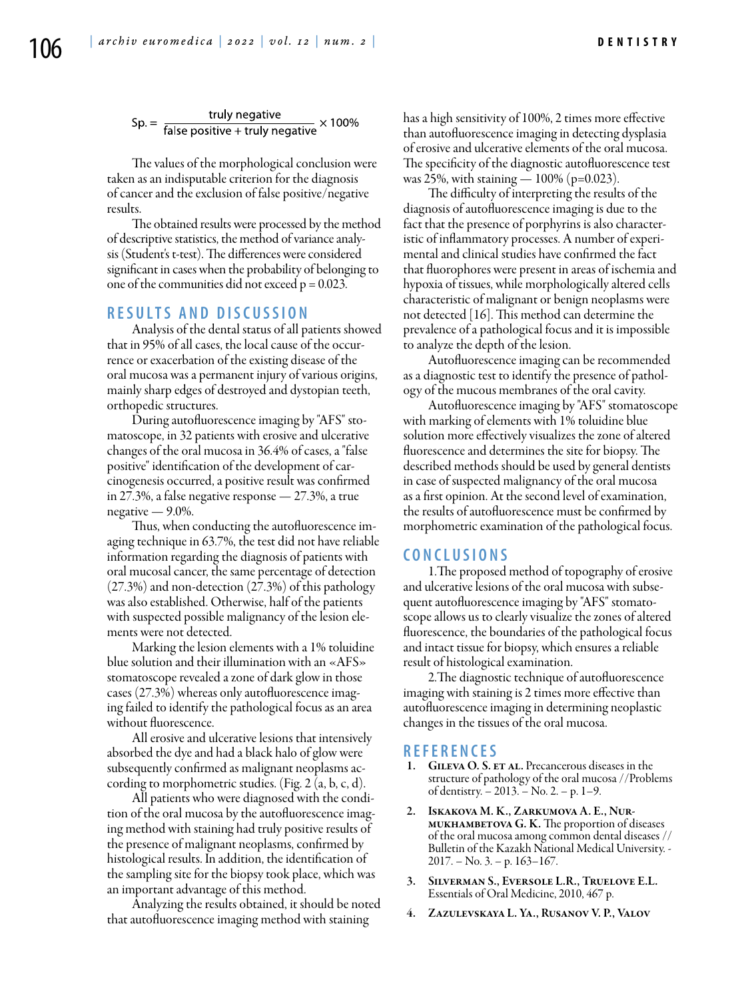Sp. =  $\frac{t}{\text{false positive} + t}$  × 100%

The values of the morphological conclusion were taken as an indisputable criterion for the diagnosis of cancer and the exclusion of false positive/negative results.

The obtained results were processed by the method of descriptive statistics, the method of variance analysis (Student's t-test). The differences were considered significant in cases when the probability of belonging to one of the communities did not exceed  $p = 0.023$ .

## **R e s ult s a n d discu s si o n**

Analysis of the dental status of all patients showed that in 95% of all cases, the local cause of the occurrence or exacerbation of the existing disease of the oral mucosa was a permanent injury of various origins, mainly sharp edges of destroyed and dystopian teeth, orthopedic structures.

During autofluorescence imaging by "AFS" stomatoscope, in 32 patients with erosive and ulcerative changes of the oral mucosa in 36.4% of cases, a "false positive" identification of the development of carcinogenesis occurred, a positive result was confirmed in 27.3%, a false negative response — 27.3%, a true negative — 9.0%.

Thus, when conducting the autofluorescence imaging technique in 63.7%, the test did not have reliable information regarding the diagnosis of patients with oral mucosal cancer, the same percentage of detection (27.3%) and non-detection (27.3%) of this pathology was also established. Otherwise, half of the patients with suspected possible malignancy of the lesion elements were not detected.

Marking the lesion elements with a 1% toluidine blue solution and their illumination with an «AFS» stomatoscope revealed a zone of dark glow in those cases (27.3%) whereas only autofluorescence imaging failed to identify the pathological focus as an area without fluorescence.

All erosive and ulcerative lesions that intensively absorbed the dye and had a black halo of glow were subsequently confirmed as malignant neoplasms according to morphometric studies. (Fig. 2 (a, b, c, d).

All patients who were diagnosed with the condition of the oral mucosa by the autofluorescence imaging method with staining had truly positive results of the presence of malignant neoplasms, confirmed by histological results. In addition, the identification of the sampling site for the biopsy took place, which was an important advantage of this method.

Analyzing the results obtained, it should be noted that autofluorescence imaging method with staining

has a high sensitivity of 100%, 2 times more effective than autofluorescence imaging in detecting dysplasia of erosive and ulcerative elements of the oral mucosa. The specificity of the diagnostic autofluorescence test was 25%, with staining — 100% (p=0.023).

The difficulty of interpreting the results of the diagnosis of autofluorescence imaging is due to the fact that the presence of porphyrins is also characteristic of inflammatory processes. A number of experimental and clinical studies have confirmed the fact that fluorophores were present in areas of ischemia and hypoxia of tissues, while morphologically altered cells characteristic of malignant or benign neoplasms were not detected [16]. This method can determine the prevalence of a pathological focus and it is impossible to analyze the depth of the lesion.

Аutofluorescence imaging can be recommended as a diagnostic test to identify the presence of pathology of the mucous membranes of the oral cavity.

Аutofluorescence imaging by "AFS" stomatoscope with marking of elements with 1% toluidine blue solution more effectively visualizes the zone of altered fluorescence and determines the site for biopsy. The described methods should be used by general dentists in case of suspected malignancy of the oral mucosa as a first opinion. At the second level of examination, the results of autofluorescence must be confirmed by morphometric examination of the pathological focus.

#### **C o n clu si o n s**

1.The proposed method of topography of erosive and ulcerative lesions of the oral mucosa with subsequent autofluorescence imaging by "AFS" stomatoscope allows us to clearly visualize the zones of altered fluorescence, the boundaries of the pathological focus and intact tissue for biopsy, which ensures a reliable result of histological examination.

2.The diagnostic technique of autofluorescence imaging with staining is 2 times more effective than autofluorescence imaging in determining neoplastic changes in the tissues of the oral mucosa.

### **R efe r e n ce s**

- GILEVA O. S. ET AL. Precancerous diseases in the structure of pathology of the oral mucosa //Problems of dentistry. – 2013. – No. 2. – p. 1–9.
- 2. Iskakova M. K., Zarkumova A. E., Nurmukhambetova G. K. The proportion of diseases of the oral mucosa among common dental diseases // Bulletin of the Kazakh National Medical University. - 2017. – No. 3. – p. 163–167.
- 3. Silverman S., Eversole L.R., Truelove E.L. Essentials of Oral Medicine, 2010, 467 p.
- 4. Zazulevskaya L. Ya., Rusanov V. P., Valov